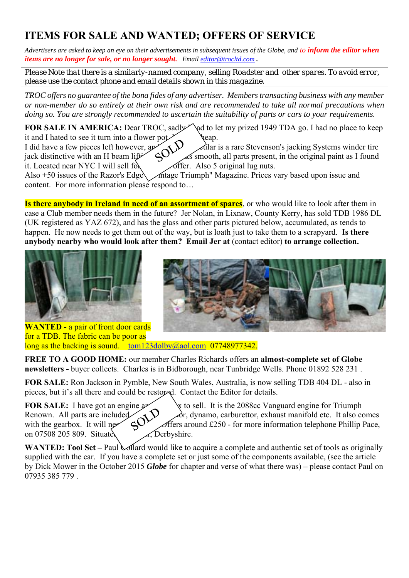## **ITEMS FOR SALE AND WANTED; OFFERS OF SERVICE**

*Advertisers are asked to keep an eye on their advertisements in subsequent issues of the Globe, and to inform the editor when items are no longer for sale, or no longer sought. Email [editor@trocltd.com](mailto:editor@trocltd.com) .*

*Please Note that there is a similarly-named company, selling Roadster and other spares. To avoid error, please use the contact phone and email details shown in this magazine.*

*TROC offers no guarantee of the bona fides of any advertiser. Members transacting business with any member or non-member do so entirely at their own risk and are recommended to take all normal precautions when doing so. You are strongly recommended to ascertain the suitability of parts or cars to your requirements.*

**FOR SALE IN AMERICA:** Dear TROC, sadly ad to let my prized 1949 TDA go. I had no place to keep it and I hated to see it turn into a flower pot.<br>I did have a few pieces left however, and  $\sum_{\text{black}}$  dlar jack distinctive with an H beam lift. I did have a few pieces left however, and  $\sum_{n=1}^{\infty}$  alar is a rare Stevenson's jacking Systems winder tire jack distinctive with an H beam liftimg arrows are smooth, all parts present, in the original paint as I found it. Located near NYC I will sell for  $\sqrt{\text{eff}}$  er. Also 5 original lug nuts. Also  $+50$  issues of the Razor's Edge  $\setminus$  Intage Triumph" Magazine. Prices vary based upon issue and content. For more information please respond to…

**Is there anybody in Ireland in need of an assortment of spares**, or who would like to look after them in case a Club member needs them in the future? Jer Nolan, in Lixnaw, County Kerry, has sold TDB 1986 DL (UK registered as YAZ 672), and has the glass and other parts pictured below, accumulated, as tends to happen. He now needs to get them out of the way, but is loath just to take them to a scrapyard. **Is there anybody nearby who would look after them? Email Jer at** (contact editor) **to arrange collection.**





**WANTED -** a pair of front door cards for a TDB. The fabric can be poor as long as the backing is sound. [tom123dolby@aol.com](mailto:tom123dolby@aol.com) 07748977342.

**FREE TO A GOOD HOME:** our member Charles Richards offers an **almost-complete set of Globe newsletters -** buyer collects. Charles is in Bidborough, near Tunbridge Wells. Phone 01892 528 231 .

**FOR SALE:** Ron Jackson in Pymble, New South Wales, Australia, is now selling TDB 404 DL - also in pieces, but it's all there and could be restored. Contact the Editor for details.

**FOR SALE:** I have got an engine  $x^2$  \x to sell. It is the 2088cc Vanguard engine for Triumph Renown. All parts are included,  $\mathcal{O}(\mathcal{V})$  or, dynamo, carburettor, exhaust manifold etc. It also comes with the gearbox. It will nece. with the gearbox. It will need  $\mathbb{C}^{\vee}$  offers around £250 - for more information telephone Phillip Pace, on 07508 205 809. Situated  $\bigwedge$  Derbyshire.

**WANTED: Tool Set –** Paul *Mard* would like to acquire a complete and authentic set of tools as originally supplied with the car. If you have a complete set or just some of the components available, (see the article by Dick Mower in the October 2015 *Globe* for chapter and verse of what there was) – please contact Paul on 07935 385 779 .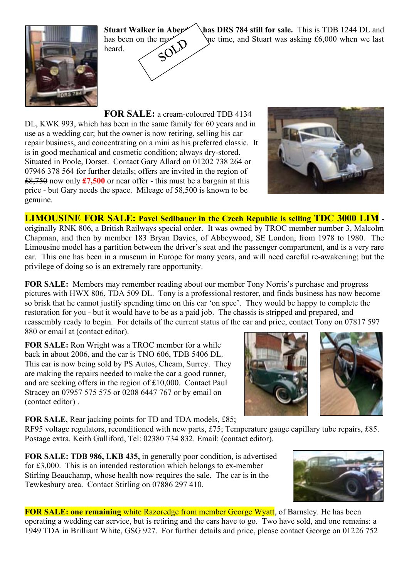

has been on the max  $\bigcirc$  of  $\bigcirc$  when time, and Stuart was asking £6,000 when we last heard.

**Stuart Walker in Abertal States DRS 784 still for sale.** This is TDB 1244 DL and

**FOR SALE:** a cream-coloured TDB 4134 DL, KWK 993, which has been in the same family for 60 years and in use as a wedding car; but the owner is now retiring, selling his car repair business, and concentrating on a mini as his preferred classic. It is in good mechanical and cosmetic condition; always dry-stored. Situated in Poole, Dorset. Contact Gary Allard on 01202 738 264 or 07946 378 564 for further details; offers are invited in the region of £8,750 now only **£7,500** or near offer - this must be a bargain at this price - but Gary needs the space. Mileage of 58,500 is known to be genuine.



**LIMOUSINE FOR SALE: Pavel Sedlbauer in the Czech Republic is selling TDC 3000 LIM** originally RNK 806, a British Railways special order. It was owned by TROC member number 3, Malcolm Chapman, and then by member 183 Bryan Davies, of Abbeywood, SE London, from 1978 to 1980. The Limousine model has a partition between the driver's seat and the passenger compartment, and is a very rare car. This one has been in a museum in Europe for many years, and will need careful re-awakening; but the privilege of doing so is an extremely rare opportunity.

**FOR SALE:** Members may remember reading about our member Tony Norris's purchase and progress pictures with HWX 806, TDA 509 DL. Tony is a professional restorer, and finds business has now become so brisk that he cannot justify spending time on this car 'on spec'. They would be happy to complete the restoration for you - but it would have to be as a paid job. The chassis is stripped and prepared, and reassembly ready to begin. For details of the current status of the car and price, contact Tony on 07817 597 880 or email at (contact editor).

**FOR SALE:** Ron Wright was a TROC member for a while back in about 2006, and the car is TNO 606, TDB 5406 DL. This car is now being sold by PS Autos, Cheam, Surrey. They are making the repairs needed to make the car a good runner, and are seeking offers in the region of £10,000. Contact Paul Stracey on 07957 575 575 or 0208 6447 767 or by email on (contact editor) .

**FOR SALE**, Rear jacking points for TD and TDA models, £85;





RF95 voltage regulators, reconditioned with new parts, £75; Temperature gauge capillary tube repairs, £85. Postage extra. Keith Gulliford, Tel: 02380 734 832. Email: (contact editor).

**FOR SALE: TDB 986, LKB 435,** in generally poor condition, is advertised for £3,000. This is an intended restoration which belongs to ex-member Stirling Beauchamp, whose health now requires the sale. The car is in the Tewkesbury area. Contact Stirling on 07886 297 410.



**FOR SALE: one remaining** white Razoredge from member George Wyatt, of Barnsley. He has been operating a wedding car service, but is retiring and the cars have to go. Two have sold, and one remains: a 1949 TDA in Brilliant White, GSG 927. For further details and price, please contact George on 01226 752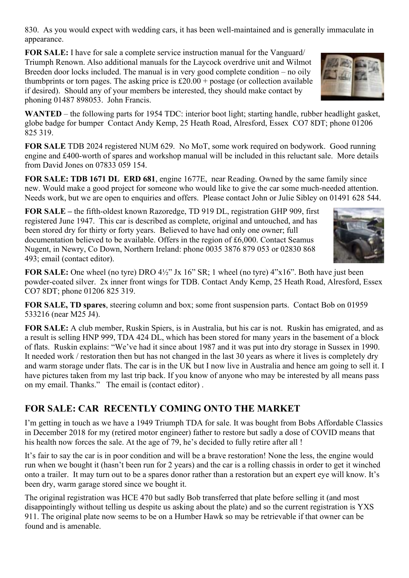830. As you would expect with wedding cars, it has been well-maintained and is generally immaculate in appearance.

**FOR SALE:** I have for sale a complete service instruction manual for the Vanguard/ Triumph Renown. Also additional manuals for the Laycock overdrive unit and Wilmot Breeden door locks included. The manual is in very good complete condition – no oily thumbprints or torn pages. The asking price is  $\text{\pounds}20.00 + \text{postage}$  (or collection available if desired). Should any of your members be interested, they should make contact by phoning 01487 898053. John Francis.

**WANTED** – the following parts for 1954 TDC: interior boot light; starting handle, rubber headlight gasket, globe badge for bumper Contact Andy Kemp, 25 Heath Road, Alresford, Essex CO7 8DT; phone 01206 825 319.

**FOR SALE** TDB 2024 registered NUM 629. No MoT, some work required on bodywork. Good running engine and £400-worth of spares and workshop manual will be included in this reluctant sale. More details from David Jones on 07833 059 154.

**FOR SALE: TDB 1671 DL ERD 681**, engine 1677E, near Reading. Owned by the same family since new. Would make a good project for someone who would like to give the car some much-needed attention. Needs work, but we are open to enquiries and offers. Please contact John or Julie Sibley on 01491 628 544.

**FOR SALE –** the fifth-oldest known Razoredge, TD 919 DL, registration GHP 909, first registered June 1947. This car is described as complete, original and untouched, and has been stored dry for thirty or forty years. Believed to have had only one owner; full documentation believed to be available. Offers in the region of £6,000. Contact Seamus Nugent, in Newry, Co Down, Northern Ireland: phone 0035 3876 879 053 or 02830 868 493; email (contact editor).

**FOR SALE:** One wheel (no tyre) DRO 4½" Jx 16" SR; 1 wheel (no tyre) 4"x16". Both have just been powder-coated silver. 2x inner front wings for TDB. Contact Andy Kemp, 25 Heath Road, Alresford, Essex CO7 8DT; phone 01206 825 319.

**FOR SALE, TD spares**, steering column and box; some front suspension parts. Contact Bob on 01959 533216 (near M25 J4).

**FOR SALE:** A club member, Ruskin Spiers, is in Australia, but his car is not. Ruskin has emigrated, and as a result is selling HNP 999, TDA 424 DL, which has been stored for many years in the basement of a block of flats. Ruskin explains: "We've had it since about 1987 and it was put into dry storage in Sussex in 1990. It needed work / restoration then but has not changed in the last 30 years as where it lives is completely dry and warm storage under flats. The car is in the UK but I now live in Australia and hence am going to sell it. I have pictures taken from my last trip back. If you know of anyone who may be interested by all means pass on my email. Thanks." The email is (contact editor) .

## **FOR SALE: CAR RECENTLY COMING ONTO THE MARKET**

I'm getting in touch as we have a 1949 Triumph TDA for sale. It was bought from Bobs Affordable Classics in December 2018 for my (retired motor engineer) father to restore but sadly a dose of COVID means that his health now forces the sale. At the age of 79, he's decided to fully retire after all !

It's fair to say the car is in poor condition and will be a brave restoration! None the less, the engine would run when we bought it (hasn't been run for 2 years) and the car is a rolling chassis in order to get it winched onto a trailer. It may turn out to be a spares donor rather than a restoration but an expert eye will know. It's been dry, warm garage stored since we bought it.

The original registration was HCE 470 but sadly Bob transferred that plate before selling it (and most disappointingly without telling us despite us asking about the plate) and so the current registration is YXS 911. The original plate now seems to be on a Humber Hawk so may be retrievable if that owner can be found and is amenable.